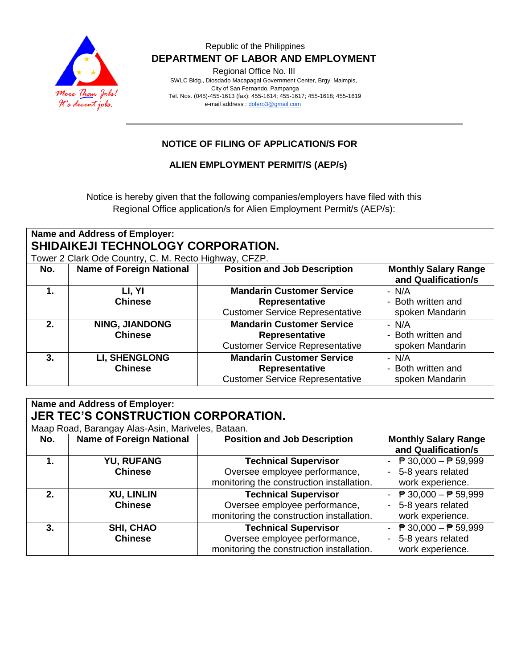

Regional Office No. III

 SWLC Bldg., Diosdado Macapagal Government Center, Brgy. Maimpis, City of San Fernando, Pampanga Tel. Nos. (045)-455-1613 (fax): 455-1614; 455-1617; 455-1618; 455-1619 e-mail address [: dolero3@gmail.com](mailto:dolero3@gmail.com)

## **NOTICE OF FILING OF APPLICATION/S FOR**

## **ALIEN EMPLOYMENT PERMIT/S (AEP/s)**

Notice is hereby given that the following companies/employers have filed with this Regional Office application/s for Alien Employment Permit/s (AEP/s):

| <b>Name and Address of Employer:</b><br>SHIDAIKEJI TECHNOLOGY CORPORATION.<br>Tower 2 Clark Ode Country, C. M. Recto Highway, CFZP. |                                         |                                                                                              |                                                    |  |
|-------------------------------------------------------------------------------------------------------------------------------------|-----------------------------------------|----------------------------------------------------------------------------------------------|----------------------------------------------------|--|
| No.                                                                                                                                 | <b>Name of Foreign National</b>         | <b>Position and Job Description</b>                                                          | <b>Monthly Salary Range</b><br>and Qualification/s |  |
| 1.                                                                                                                                  | LI, YI                                  | <b>Mandarin Customer Service</b>                                                             | $- N/A$                                            |  |
|                                                                                                                                     | <b>Chinese</b>                          | Representative<br><b>Customer Service Representative</b>                                     | - Both written and<br>spoken Mandarin              |  |
| 2.                                                                                                                                  | <b>NING, JIANDONG</b><br><b>Chinese</b> | <b>Mandarin Customer Service</b><br>Representative<br><b>Customer Service Representative</b> | $- N/A$<br>- Both written and<br>spoken Mandarin   |  |
| 3.                                                                                                                                  | <b>LI, SHENGLONG</b><br><b>Chinese</b>  | <b>Mandarin Customer Service</b><br>Representative<br><b>Customer Service Representative</b> | - N/A<br>- Both written and<br>spoken Mandarin     |  |

| Name and Address of Employer: |                                                   |                                           |                                                 |  |  |
|-------------------------------|---------------------------------------------------|-------------------------------------------|-------------------------------------------------|--|--|
|                               | <b>JER TEC'S CONSTRUCTION CORPORATION.</b>        |                                           |                                                 |  |  |
|                               | Maap Road, Barangay Alas-Asin, Mariveles, Bataan. |                                           |                                                 |  |  |
| No.                           | <b>Name of Foreign National</b>                   | <b>Position and Job Description</b>       | <b>Monthly Salary Range</b>                     |  |  |
|                               |                                                   |                                           | and Qualification/s                             |  |  |
|                               | <b>YU, RUFANG</b>                                 | <b>Technical Supervisor</b>               | ₱ 30,000 – ₱ 59,999<br>$\blacksquare$           |  |  |
|                               | <b>Chinese</b>                                    | Oversee employee performance,             | 5-8 years related                               |  |  |
|                               |                                                   | monitoring the construction installation. | work experience.                                |  |  |
| 2.                            | <b>XU, LINLIN</b>                                 | <b>Technical Supervisor</b>               | - $\overline{P}$ 30,000 - $\overline{P}$ 59,999 |  |  |
|                               | <b>Chinese</b>                                    | Oversee employee performance,             | 5-8 years related                               |  |  |
|                               |                                                   | monitoring the construction installation. | work experience.                                |  |  |
| 3.                            | <b>SHI, CHAO</b>                                  | <b>Technical Supervisor</b>               | <b>₱ 30,000 – ₱ 59,999</b>                      |  |  |
|                               | <b>Chinese</b>                                    | Oversee employee performance,             | 5-8 years related                               |  |  |
|                               |                                                   | monitoring the construction installation. | work experience.                                |  |  |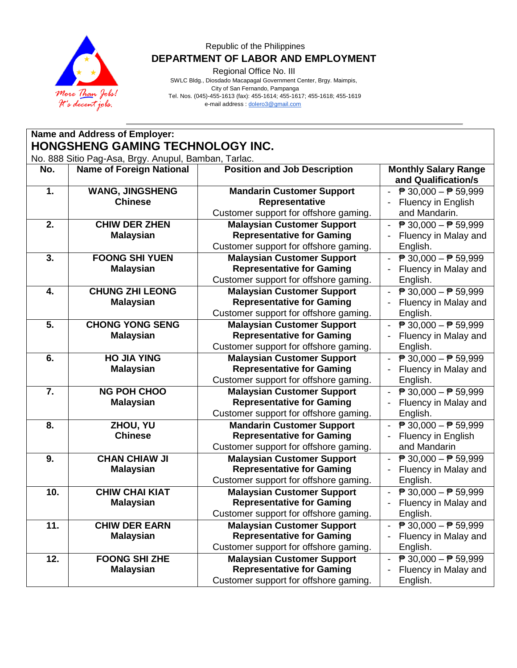

Regional Office No. III

 SWLC Bldg., Diosdado Macapagal Government Center, Brgy. Maimpis, City of San Fernando, Pampanga Tel. Nos. (045)-455-1613 (fax): 455-1614; 455-1617; 455-1618; 455-1619 e-mail address [: dolero3@gmail.com](mailto:dolero3@gmail.com)

|                                                                                          | Name and Address of Employer:              |                                                                                                                |                                                                                                         |  |  |
|------------------------------------------------------------------------------------------|--------------------------------------------|----------------------------------------------------------------------------------------------------------------|---------------------------------------------------------------------------------------------------------|--|--|
| HONGSHENG GAMING TECHNOLOGY INC.<br>No. 888 Sitio Pag-Asa, Brgy. Anupul, Bamban, Tarlac. |                                            |                                                                                                                |                                                                                                         |  |  |
| No.                                                                                      | <b>Name of Foreign National</b>            | <b>Position and Job Description</b>                                                                            | <b>Monthly Salary Range</b><br>and Qualification/s                                                      |  |  |
| 1.                                                                                       | <b>WANG, JINGSHENG</b><br><b>Chinese</b>   | <b>Mandarin Customer Support</b><br>Representative<br>Customer support for offshore gaming.                    | - $\overline{P}$ 30,000 - $\overline{P}$ 59,999<br>Fluency in English<br>and Mandarin.                  |  |  |
| 2.                                                                                       | <b>CHIW DER ZHEN</b><br><b>Malaysian</b>   | <b>Malaysian Customer Support</b><br><b>Representative for Gaming</b><br>Customer support for offshore gaming. | $\overline{P}$ 30,000 - $\overline{P}$ 59,999<br>$\blacksquare$<br>Fluency in Malay and<br>English.     |  |  |
| 3.                                                                                       | <b>FOONG SHI YUEN</b><br><b>Malaysian</b>  | <b>Malaysian Customer Support</b><br><b>Representative for Gaming</b><br>Customer support for offshore gaming. | $\overline{P}$ 30,000 - $\overline{P}$ 59,999<br>Fluency in Malay and<br>English.                       |  |  |
| 4.                                                                                       | <b>CHUNG ZHI LEONG</b><br><b>Malaysian</b> | <b>Malaysian Customer Support</b><br><b>Representative for Gaming</b><br>Customer support for offshore gaming. | $\overline{P}$ 30,000 − $\overline{P}$ 59,999<br>Fluency in Malay and<br>English.                       |  |  |
| 5.                                                                                       | <b>CHONG YONG SENG</b><br><b>Malaysian</b> | <b>Malaysian Customer Support</b><br><b>Representative for Gaming</b><br>Customer support for offshore gaming. | $\overline{P}$ 30,000 - $\overline{P}$ 59,999<br>$\blacksquare$<br>Fluency in Malay and<br>English.     |  |  |
| 6.                                                                                       | <b>HO JIA YING</b><br><b>Malaysian</b>     | <b>Malaysian Customer Support</b><br><b>Representative for Gaming</b><br>Customer support for offshore gaming. | - $\overline{P}$ 30,000 - $\overline{P}$ 59,999<br>Fluency in Malay and<br>English.                     |  |  |
| 7.                                                                                       | <b>NG POH CHOO</b><br><b>Malaysian</b>     | <b>Malaysian Customer Support</b><br><b>Representative for Gaming</b><br>Customer support for offshore gaming. | ₱ 30,000 - ₱ 59,999<br>$\blacksquare$<br>Fluency in Malay and<br>English.                               |  |  |
| 8.                                                                                       | ZHOU, YU<br><b>Chinese</b>                 | <b>Mandarin Customer Support</b><br><b>Representative for Gaming</b><br>Customer support for offshore gaming.  | ₱ 30,000 - ₱ 59,999<br>Fluency in English<br>and Mandarin                                               |  |  |
| 9.                                                                                       | <b>CHAN CHIAW JI</b><br><b>Malaysian</b>   | <b>Malaysian Customer Support</b><br><b>Representative for Gaming</b><br>Customer support for offshore gaming. | $\overline{p}30,000 - \overline{p}59,999$<br>Fluency in Malay and<br>English.                           |  |  |
| 10.                                                                                      | <b>CHIW CHAI KIAT</b><br><b>Malaysian</b>  | <b>Malaysian Customer Support</b><br><b>Representative for Gaming</b><br>Customer support for offshore gaming. | $\overline{P}$ 30,000 - $\overline{P}$ 59,999<br>Fluency in Malay and<br>English.                       |  |  |
| 11.                                                                                      | <b>CHIW DER EARN</b><br><b>Malaysian</b>   | <b>Malaysian Customer Support</b><br><b>Representative for Gaming</b><br>Customer support for offshore gaming. | <sup><math>p</math></sup> 30,000 – <sup><math>p</math></sup> 59,999<br>Fluency in Malay and<br>English. |  |  |
| 12.                                                                                      | <b>FOONG SHI ZHE</b><br><b>Malaysian</b>   | <b>Malaysian Customer Support</b><br><b>Representative for Gaming</b><br>Customer support for offshore gaming. | ₱ 30,000 - ₱ 59,999<br>Fluency in Malay and<br>English.                                                 |  |  |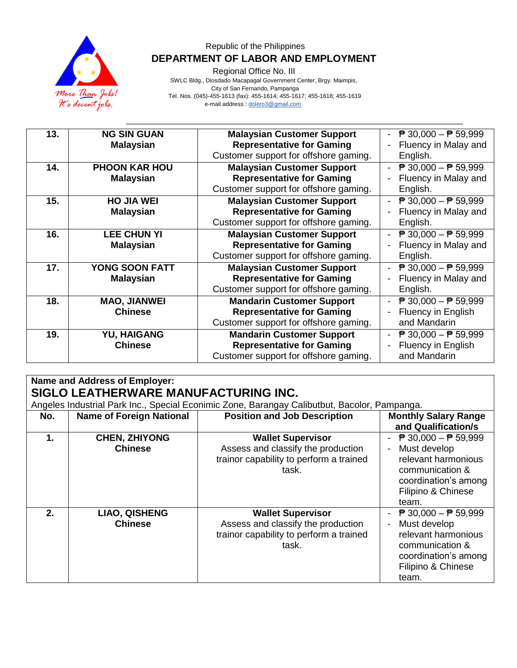

Regional Office No. III

 SWLC Bldg., Diosdado Macapagal Government Center, Brgy. Maimpis, City of San Fernando, Pampanga Tel. Nos. (045)-455-1613 (fax): 455-1614; 455-1617; 455-1618; 455-1619 e-mail address [: dolero3@gmail.com](mailto:dolero3@gmail.com)

| 13. | <b>NG SIN GUAN</b>   | <b>Malaysian Customer Support</b>     | $\overline{P}$ 30,000 - $\overline{P}$ 59,999 |
|-----|----------------------|---------------------------------------|-----------------------------------------------|
|     | <b>Malaysian</b>     | <b>Representative for Gaming</b>      | Fluency in Malay and                          |
|     |                      | Customer support for offshore gaming. | English.                                      |
| 14. | <b>PHOON KAR HOU</b> | <b>Malaysian Customer Support</b>     | $\overline{P}$ 30,000 - $\overline{P}$ 59,999 |
|     | <b>Malaysian</b>     | <b>Representative for Gaming</b>      | Fluency in Malay and                          |
|     |                      | Customer support for offshore gaming. | English.                                      |
| 15. | <b>HO JIA WEI</b>    | <b>Malaysian Customer Support</b>     | $\overline{P}$ 30,000 - $\overline{P}$ 59,999 |
|     | <b>Malaysian</b>     | <b>Representative for Gaming</b>      | Fluency in Malay and                          |
|     |                      | Customer support for offshore gaming. | English.                                      |
| 16. | <b>LEE CHUN YI</b>   | <b>Malaysian Customer Support</b>     | $\overline{P}$ 30,000 − $\overline{P}$ 59,999 |
|     | <b>Malaysian</b>     | <b>Representative for Gaming</b>      | Fluency in Malay and                          |
|     |                      | Customer support for offshore gaming. | English.                                      |
| 17. | YONG SOON FATT       | <b>Malaysian Customer Support</b>     | $\overline{P}$ 30,000 - $\overline{P}$ 59,999 |
|     | <b>Malaysian</b>     | <b>Representative for Gaming</b>      | Fluency in Malay and                          |
|     |                      | Customer support for offshore gaming. | English.                                      |
| 18. | <b>MAO, JIANWEI</b>  | <b>Mandarin Customer Support</b>      | $\overline{P}$ 30,000 - $\overline{P}$ 59,999 |
|     | <b>Chinese</b>       | <b>Representative for Gaming</b>      | Fluency in English                            |
|     |                      | Customer support for offshore gaming. | and Mandarin                                  |
| 19. | <b>YU, HAIGANG</b>   | <b>Mandarin Customer Support</b>      | $\overline{P}$ 30,000 - $\overline{P}$ 59,999 |
|     | <b>Chinese</b>       | <b>Representative for Gaming</b>      | Fluency in English                            |
|     |                      | Customer support for offshore gaming. | and Mandarin                                  |

# **Name and Address of Employer: SIGLO LEATHERWARE MANUFACTURING INC.**

|               | Angeles Industrial Park Inc., Special Econimic Zone, Barangay Calibutbut, Bacolor, Pampanga. |                                                                                                                    |                                                                                                                                                                |  |  |
|---------------|----------------------------------------------------------------------------------------------|--------------------------------------------------------------------------------------------------------------------|----------------------------------------------------------------------------------------------------------------------------------------------------------------|--|--|
| No.           | <b>Name of Foreign National</b>                                                              | <b>Position and Job Description</b>                                                                                | <b>Monthly Salary Range</b>                                                                                                                                    |  |  |
|               |                                                                                              |                                                                                                                    | and Qualification/s                                                                                                                                            |  |  |
| $\mathbf 1$ . | <b>CHEN, ZHIYONG</b>                                                                         | <b>Wallet Supervisor</b>                                                                                           | $\overline{P}$ 30,000 − $\overline{P}$ 59,999                                                                                                                  |  |  |
|               | <b>Chinese</b>                                                                               | Assess and classify the production                                                                                 | Must develop                                                                                                                                                   |  |  |
|               |                                                                                              | trainor capability to perform a trained<br>task.                                                                   | relevant harmonious<br>communication &<br>coordination's among<br>Filipino & Chinese<br>team.                                                                  |  |  |
| 2.            | <b>LIAO, QISHENG</b><br><b>Chinese</b>                                                       | <b>Wallet Supervisor</b><br>Assess and classify the production<br>trainor capability to perform a trained<br>task. | $\overline{P}$ 30,000 - $\overline{P}$ 59,999<br>Must develop<br>relevant harmonious<br>communication &<br>coordination's among<br>Filipino & Chinese<br>team. |  |  |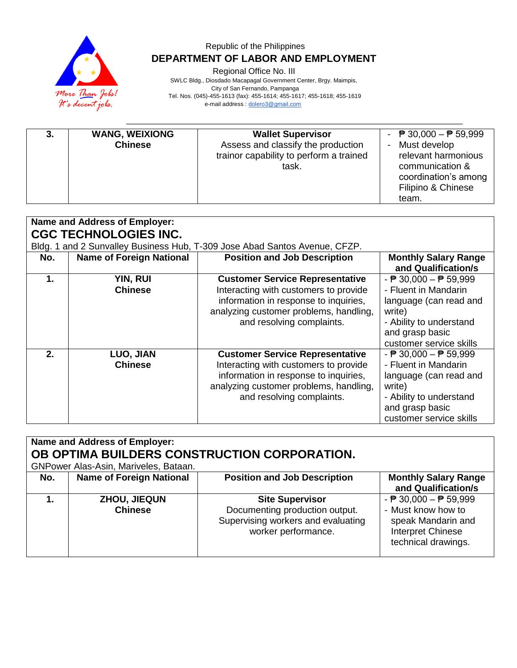

Regional Office No. III

 SWLC Bldg., Diosdado Macapagal Government Center, Brgy. Maimpis, City of San Fernando, Pampanga

Tel. Nos. (045)-455-1613 (fax): 455-1614; 455-1617; 455-1618; 455-1619

e-mail address [: dolero3@gmail.com](mailto:dolero3@gmail.com)

|  | <b>WANG, WEIXIONG</b><br><b>Chinese</b> | <b>Wallet Supervisor</b><br>Assess and classify the production<br>trainor capability to perform a trained<br>task. | - $\overline{P}$ 30,000 - $\overline{P}$ 59,999<br>Must develop<br>relevant harmonious<br>communication &<br>coordination's among<br>Filipino & Chinese<br>team. |
|--|-----------------------------------------|--------------------------------------------------------------------------------------------------------------------|------------------------------------------------------------------------------------------------------------------------------------------------------------------|
|--|-----------------------------------------|--------------------------------------------------------------------------------------------------------------------|------------------------------------------------------------------------------------------------------------------------------------------------------------------|

| <b>Name and Address of Employer:</b> |                                 |                                                                                                                                                                                                 |                                                                                                                                                                                      |  |  |
|--------------------------------------|---------------------------------|-------------------------------------------------------------------------------------------------------------------------------------------------------------------------------------------------|--------------------------------------------------------------------------------------------------------------------------------------------------------------------------------------|--|--|
| <b>CGC TECHNOLOGIES INC.</b>         |                                 |                                                                                                                                                                                                 |                                                                                                                                                                                      |  |  |
|                                      |                                 | Bldg. 1 and 2 Sunvalley Business Hub, T-309 Jose Abad Santos Avenue, CFZP.                                                                                                                      |                                                                                                                                                                                      |  |  |
| No.                                  | <b>Name of Foreign National</b> | <b>Position and Job Description</b>                                                                                                                                                             | <b>Monthly Salary Range</b><br>and Qualification/s                                                                                                                                   |  |  |
| 1.                                   | YIN, RUI<br><b>Chinese</b>      | <b>Customer Service Representative</b><br>Interacting with customers to provide<br>information in response to inquiries,<br>analyzing customer problems, handling,<br>and resolving complaints. | - $\overline{P}$ 30,000 - $\overline{P}$ 59,999<br>- Fluent in Mandarin<br>language (can read and<br>write)<br>- Ability to understand<br>and grasp basic<br>customer service skills |  |  |
| 2 <sub>1</sub>                       | LUO, JIAN<br><b>Chinese</b>     | <b>Customer Service Representative</b><br>Interacting with customers to provide<br>information in response to inquiries,<br>analyzing customer problems, handling,<br>and resolving complaints. | - $\overline{P}$ 30,000 - $\overline{P}$ 59,999<br>- Fluent in Mandarin<br>language (can read and<br>write)<br>- Ability to understand<br>and grasp basic<br>customer service skills |  |  |

| Name and Address of Employer:<br>OB OPTIMA BUILDERS CONSTRUCTION CORPORATION. |                                       |                                                                                                                       |                                                                                                                                         |  |
|-------------------------------------------------------------------------------|---------------------------------------|-----------------------------------------------------------------------------------------------------------------------|-----------------------------------------------------------------------------------------------------------------------------------------|--|
|                                                                               | GNPower Alas-Asin, Mariveles, Bataan. |                                                                                                                       |                                                                                                                                         |  |
| No.                                                                           | <b>Name of Foreign National</b>       | <b>Position and Job Description</b>                                                                                   | <b>Monthly Salary Range</b><br>and Qualification/s                                                                                      |  |
|                                                                               | ZHOU, JIEQUN<br><b>Chinese</b>        | <b>Site Supervisor</b><br>Documenting production output.<br>Supervising workers and evaluating<br>worker performance. | - $\overline{P}$ 30,000 - $\overline{P}$ 59,999<br>- Must know how to<br>speak Mandarin and<br>Interpret Chinese<br>technical drawings. |  |